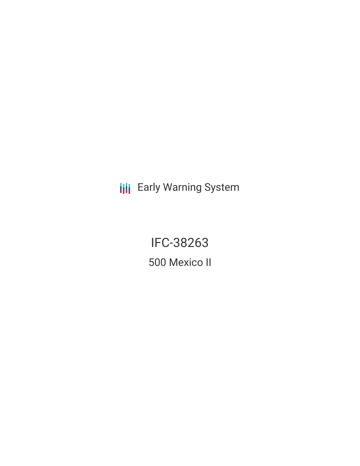**III** Early Warning System

IFC-38263 500 Mexico II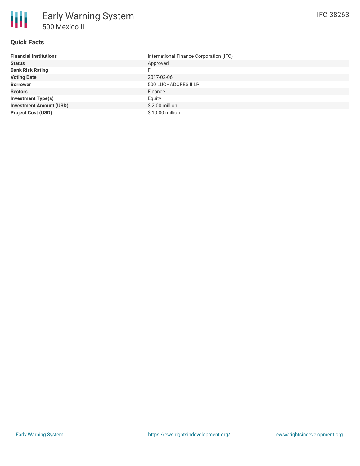# **Quick Facts**

| <b>Financial Institutions</b>  | International Finance Corporation (IFC) |
|--------------------------------|-----------------------------------------|
| <b>Status</b>                  | Approved                                |
| <b>Bank Risk Rating</b>        | FI.                                     |
| <b>Voting Date</b>             | 2017-02-06                              |
| <b>Borrower</b>                | 500 LUCHADORES II LP                    |
| <b>Sectors</b>                 | Finance                                 |
| <b>Investment Type(s)</b>      | Equity                                  |
| <b>Investment Amount (USD)</b> | $$2.00$ million                         |
| <b>Project Cost (USD)</b>      | \$10.00 million                         |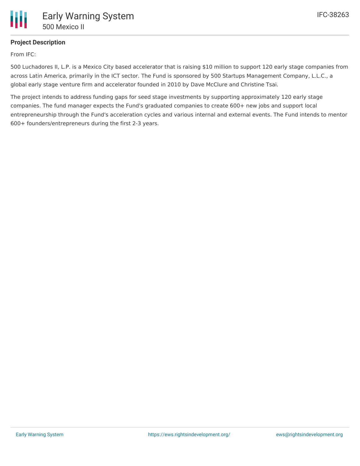# **Project Description**

From IFC:

500 Luchadores II, L.P. is a Mexico City based accelerator that is raising \$10 million to support 120 early stage companies from across Latin America, primarily in the ICT sector. The Fund is sponsored by 500 Startups Management Company, L.L.C., a global early stage venture firm and accelerator founded in 2010 by Dave McClure and Christine Tsai.

The project intends to address funding gaps for seed stage investments by supporting approximately 120 early stage companies. The fund manager expects the Fund's graduated companies to create 600+ new jobs and support local entrepreneurship through the Fund's acceleration cycles and various internal and external events. The Fund intends to mentor 600+ founders/entrepreneurs during the first 2-3 years.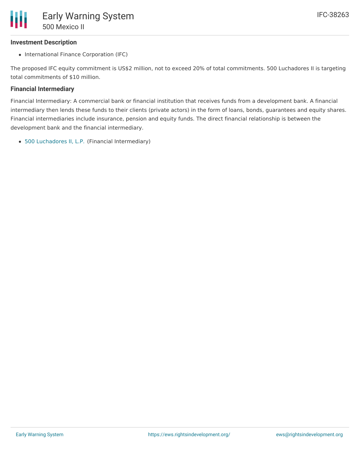### **Investment Description**

• International Finance Corporation (IFC)

The proposed IFC equity commitment is US\$2 million, not to exceed 20% of total commitments. 500 Luchadores II is targeting total commitments of \$10 million.

### **Financial Intermediary**

Financial Intermediary: A commercial bank or financial institution that receives funds from a development bank. A financial intermediary then lends these funds to their clients (private actors) in the form of loans, bonds, guarantees and equity shares. Financial intermediaries include insurance, pension and equity funds. The direct financial relationship is between the development bank and the financial intermediary.

500 [Luchadores](file:///actor/963/) II, L.P. (Financial Intermediary)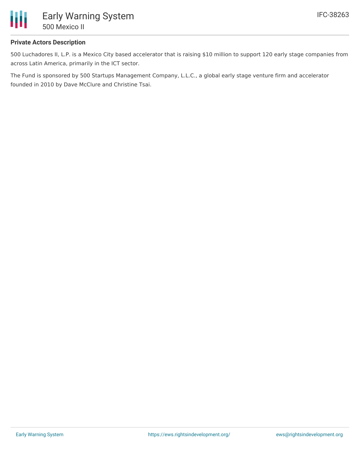

### **Private Actors Description**

500 Luchadores II, L.P. is a Mexico City based accelerator that is raising \$10 million to support 120 early stage companies from across Latin America, primarily in the ICT sector.

The Fund is sponsored by 500 Startups Management Company, L.L.C., a global early stage venture firm and accelerator founded in 2010 by Dave McClure and Christine Tsai.